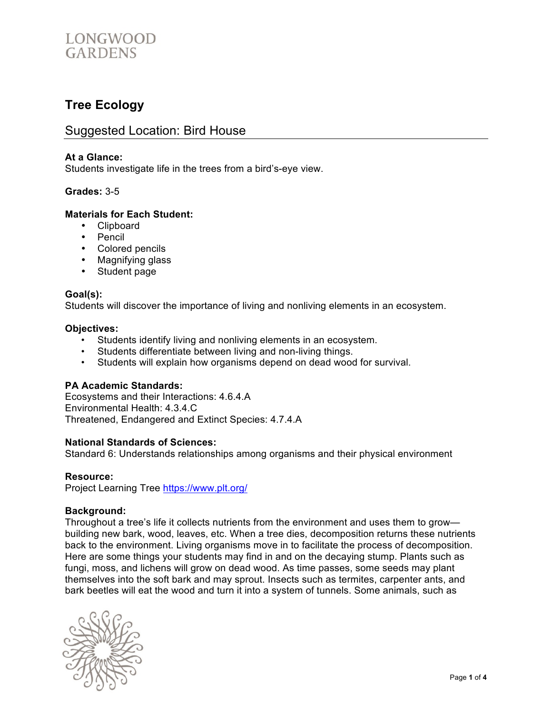

## **Tree Ecology**

### Suggested Location: Bird House

#### **At a Glance:**

Students investigate life in the trees from a bird's-eye view.

#### **Grades:** 3-5

#### **Materials for Each Student:**

- Clipboard
- Pencil
- Colored pencils
- Magnifying glass
- Student page

#### **Goal(s):**

Students will discover the importance of living and nonliving elements in an ecosystem.

#### **Objectives:**

- Students identify living and nonliving elements in an ecosystem.
- Students differentiate between living and non-living things.
- Students will explain how organisms depend on dead wood for survival.

#### **PA Academic Standards:**

Ecosystems and their Interactions: 4.6.4.A Environmental Health: 4.3.4.C Threatened, Endangered and Extinct Species: 4.7.4.A

#### **National Standards of Sciences:**

Standard 6: Understands relationships among organisms and their physical environment

#### **Resource:**

Project Learning Tree https://www.plt.org/

#### **Background:**

Throughout a tree's life it collects nutrients from the environment and uses them to grow building new bark, wood, leaves, etc. When a tree dies, decomposition returns these nutrients back to the environment. Living organisms move in to facilitate the process of decomposition. Here are some things your students may find in and on the decaying stump. Plants such as fungi, moss, and lichens will grow on dead wood. As time passes, some seeds may plant themselves into the soft bark and may sprout. Insects such as termites, carpenter ants, and bark beetles will eat the wood and turn it into a system of tunnels. Some animals, such as

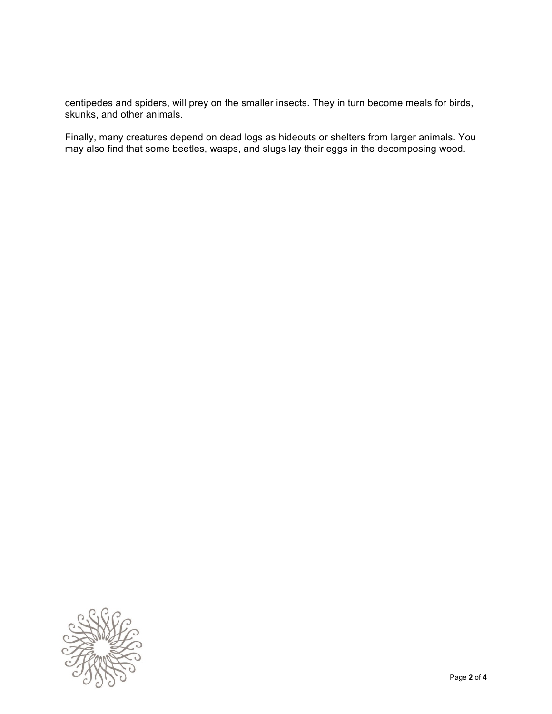centipedes and spiders, will prey on the smaller insects. They in turn become meals for birds, skunks, and other animals.

Finally, many creatures depend on dead logs as hideouts or shelters from larger animals. You may also find that some beetles, wasps, and slugs lay their eggs in the decomposing wood.

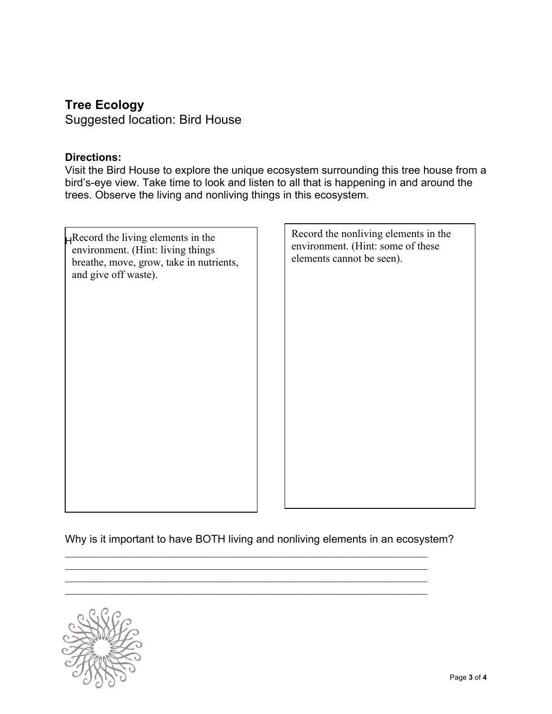# **Tree Ecology**

Suggested location: Bird House

### **Directions:**

Visit the Bird House to explore the unique ecosystem surrounding this tree house from a bird's-eye view. Take time to look and listen to all that is happening in and around the trees. Observe the living and nonliving things in this ecosystem.

| $\mathbf{H}$ Record the living elements in the<br>environment. (Hint: living things<br>breathe, move, grow, take in nutrients,<br>and give off waste). | Record the nonliving elements in the<br>environment. (Hint: some of these<br>elements cannot be seen). |
|--------------------------------------------------------------------------------------------------------------------------------------------------------|--------------------------------------------------------------------------------------------------------|
|                                                                                                                                                        |                                                                                                        |
|                                                                                                                                                        |                                                                                                        |
|                                                                                                                                                        |                                                                                                        |
|                                                                                                                                                        |                                                                                                        |

Why is it important to have BOTH living and nonliving elements in an ecosystem?

 $\mathcal{L}_\text{max} = \mathcal{L}_\text{max} = \mathcal{L}_\text{max} = \mathcal{L}_\text{max} = \mathcal{L}_\text{max} = \mathcal{L}_\text{max} = \mathcal{L}_\text{max} = \mathcal{L}_\text{max} = \mathcal{L}_\text{max} = \mathcal{L}_\text{max} = \mathcal{L}_\text{max} = \mathcal{L}_\text{max} = \mathcal{L}_\text{max} = \mathcal{L}_\text{max} = \mathcal{L}_\text{max} = \mathcal{L}_\text{max} = \mathcal{L}_\text{max} = \mathcal{L}_\text{max} = \mathcal{$  $\mathcal{L}_\mathcal{L} = \{ \mathcal{L}_\mathcal{L} = \{ \mathcal{L}_\mathcal{L} = \{ \mathcal{L}_\mathcal{L} = \{ \mathcal{L}_\mathcal{L} = \{ \mathcal{L}_\mathcal{L} = \{ \mathcal{L}_\mathcal{L} = \{ \mathcal{L}_\mathcal{L} = \{ \mathcal{L}_\mathcal{L} = \{ \mathcal{L}_\mathcal{L} = \{ \mathcal{L}_\mathcal{L} = \{ \mathcal{L}_\mathcal{L} = \{ \mathcal{L}_\mathcal{L} = \{ \mathcal{L}_\mathcal{L} = \{ \mathcal{L}_\mathcal{$  $\mathcal{L}_\mathcal{L} = \{ \mathcal{L}_\mathcal{L} = \{ \mathcal{L}_\mathcal{L} = \{ \mathcal{L}_\mathcal{L} = \{ \mathcal{L}_\mathcal{L} = \{ \mathcal{L}_\mathcal{L} = \{ \mathcal{L}_\mathcal{L} = \{ \mathcal{L}_\mathcal{L} = \{ \mathcal{L}_\mathcal{L} = \{ \mathcal{L}_\mathcal{L} = \{ \mathcal{L}_\mathcal{L} = \{ \mathcal{L}_\mathcal{L} = \{ \mathcal{L}_\mathcal{L} = \{ \mathcal{L}_\mathcal{L} = \{ \mathcal{L}_\mathcal{$  $\mathcal{L}_\text{max} = \mathcal{L}_\text{max} = \mathcal{L}_\text{max} = \mathcal{L}_\text{max} = \mathcal{L}_\text{max} = \mathcal{L}_\text{max} = \mathcal{L}_\text{max} = \mathcal{L}_\text{max} = \mathcal{L}_\text{max} = \mathcal{L}_\text{max} = \mathcal{L}_\text{max} = \mathcal{L}_\text{max} = \mathcal{L}_\text{max} = \mathcal{L}_\text{max} = \mathcal{L}_\text{max} = \mathcal{L}_\text{max} = \mathcal{L}_\text{max} = \mathcal{L}_\text{max} = \mathcal{$